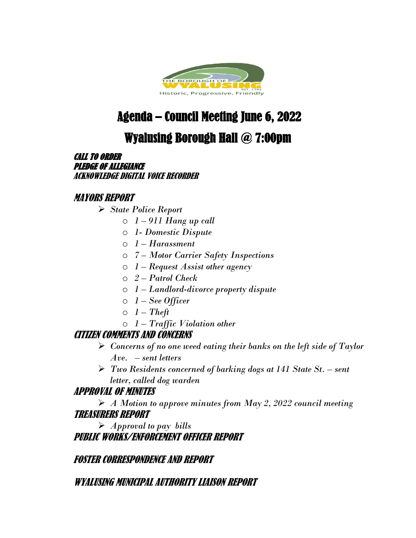

# Agenda – Council Meeting June 6, 2022

## Wyalusing Borough Hall @ 7:00pm

CALL TO ORDER PLEDGE OF ALLEGIANCE ACKNOWLEDGE DIGITAL VOICE RECORDER

### MAYORS REPORT

- *State Police Report* 
	- o *1 – 911 Hang up call*
	- o *1- Domestic Dispute*
	- o *1 – Harassment*
	- o *7 – Motor Carrier Safety Inspections*
	- o *1 – Request Assist other agency*
	- o *2 – Patrol Check*
	- o *1 – Landlord-divorce property dispute*
	- o *1 – See Officer*
	- $0 \quad 1 Theft$
	- o *1 – Traffic Violation other*

#### CITIZEN COMMENTS AND CONCERNS

- *Concerns of no one weed eating their banks on the left side of Taylor Ave. – sent letters*
- *Two Residents concerned of barking dogs at 141 State St. – sent letter, called dog warden*

#### APPROVAL OF MINUTES

 *A Motion to approve minutes from May 2, 2022 council meeting*  TREASURERS REPORT

 *Approval to pay bills*  PUBLIC WORKS/ENFORCEMENT OFFICER REPORT

FOSTER CORRESPONDENCE AND REPORT

#### WYALUSING MUNICIPAL AUTHORITY LIAISON REPORT